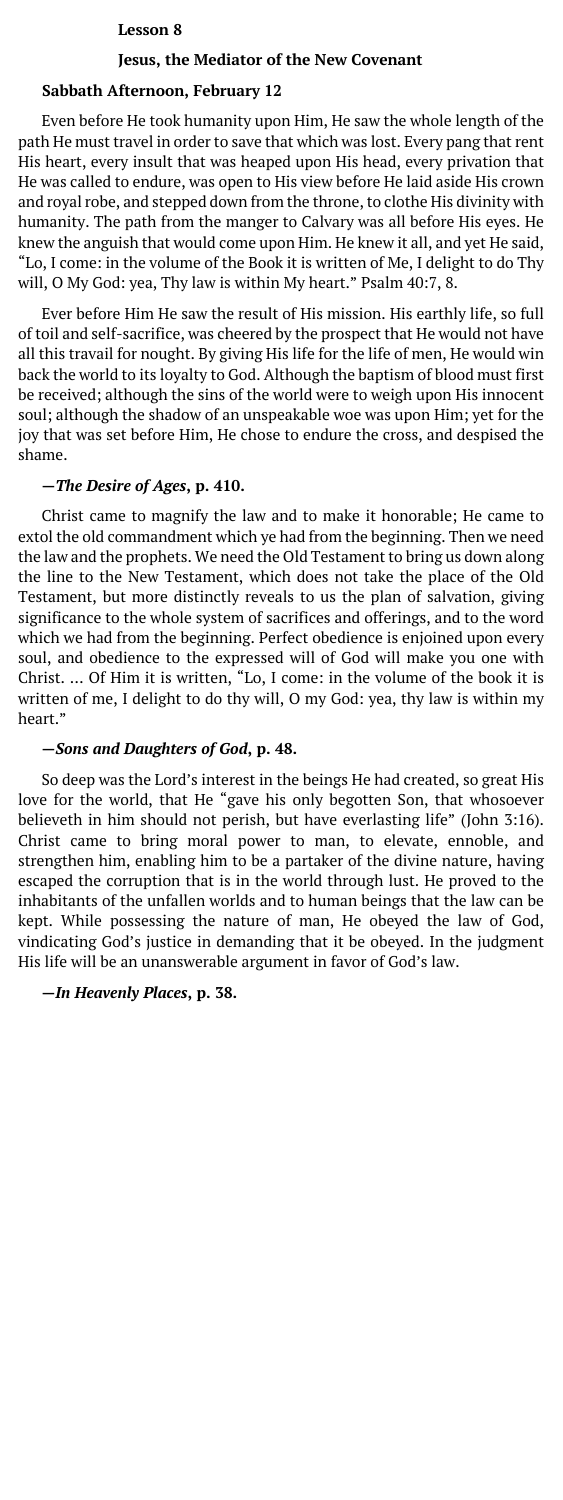## **Lesson 8**

## **Jesus, the Mediator of the New Covenant**

## **Sabbath Afternoon, February 12**

Even before He took humanity upon Him, He saw the whole length of the path He must travel in order to save that which was lost. Every pang that rent His heart, every insult that was heaped upon His head, every privation that He was called to endure, was open to His view before He laid aside His crown and royal robe, and stepped down from the throne, to clothe His divinity with humanity. The path from the manger to Calvary was all before His eyes. He knew the anguish that would come upon Him. He knew it all, and yet He said, "Lo, I come: in the volume of the Book it is written of Me, I delight to do Thy will, O My God: yea, Thy law is within My heart." Psalm 40:7, 8.

Ever before Him He saw the result of His mission. His earthly life, so full of toil and self-sacrifice, was cheered by the prospect that He would not have all this travail for nought. By giving His life for the life of men, He would win back the world to its loyalty to God. Although the baptism of blood must first be received; although the sins of the world were to weigh upon His innocent soul; although the shadow of an unspeakable woe was upon Him; yet for the joy that was set before Him, He chose to endure the cross, and despised the shame.

## **—***The Desire of Ages***, p. 410.**

Christ came to magnify the law and to make it honorable; He came to extol the old commandment which ye had from the beginning. Then we need the law and the prophets. We need the Old Testament to bring us down along the line to the New Testament, which does not take the place of the Old Testament, but more distinctly reveals to us the plan of salvation, giving significance to the whole system of sacrifices and offerings, and to the word which we had from the beginning. Perfect obedience is enjoined upon every soul, and obedience to the expressed will of God will make you one with Christ. … Of Him it is written, "Lo, I come: in the volume of the book it is written of me, I delight to do thy will, O my God: yea, thy law is within my heart."

# **—***Sons and Daughters of God***, p. 48.**

So deep was the Lord's interest in the beings He had created, so great His love for the world, that He "gave his only begotten Son, that whosoever believeth in him should not perish, but have everlasting life" (John 3:16). Christ came to bring moral power to man, to elevate, ennoble, and strengthen him, enabling him to be a partaker of the divine nature, having escaped the corruption that is in the world through lust. He proved to the inhabitants of the unfallen worlds and to human beings that the law can be kept. While possessing the nature of man, He obeyed the law of God, vindicating God's justice in demanding that it be obeyed. In the judgment His life will be an unanswerable argument in favor of God's law.

**—***In Heavenly Places***, p. 38.**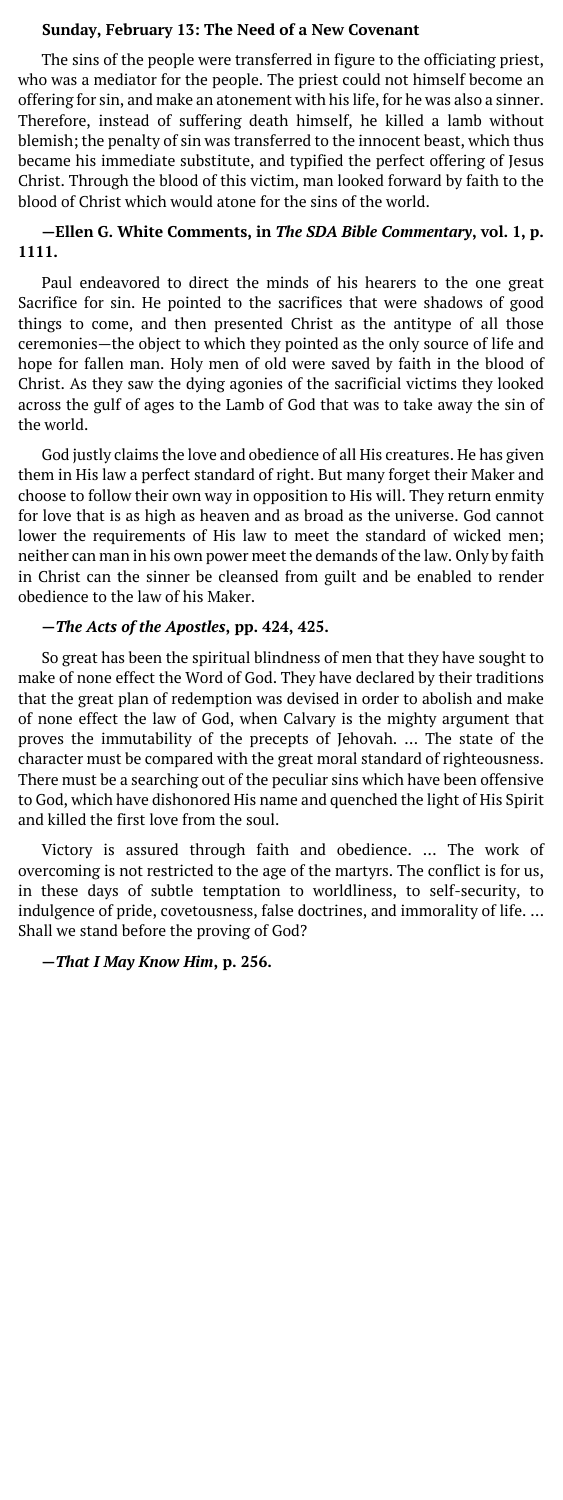# **Sunday, February 13: The Need of a New Covenant**

The sins of the people were transferred in figure to the officiating priest, who was a mediator for the people. The priest could not himself become an offering for sin, and make an atonement with his life, for he was also a sinner. Therefore, instead of suffering death himself, he killed a lamb without blemish; the penalty of sin was transferred to the innocent beast, which thus became his immediate substitute, and typified the perfect offering of Jesus Christ. Through the blood of this victim, man looked forward by faith to the blood of Christ which would atone for the sins of the world.

# **—Ellen G. White Comments, in** *The SDA Bible Commentary***, vol. 1, p. 1111.**

Paul endeavored to direct the minds of his hearers to the one great Sacrifice for sin. He pointed to the sacrifices that were shadows of good things to come, and then presented Christ as the antitype of all those ceremonies—the object to which they pointed as the only source of life and hope for fallen man. Holy men of old were saved by faith in the blood of Christ. As they saw the dying agonies of the sacrificial victims they looked across the gulf of ages to the Lamb of God that was to take away the sin of the world.

God justly claims the love and obedience of all His creatures. He has given them in His law a perfect standard of right. But many forget their Maker and choose to follow their own way in opposition to His will. They return enmity for love that is as high as heaven and as broad as the universe. God cannot lower the requirements of His law to meet the standard of wicked men; neither can man in his own power meet the demands of the law. Only by faith in Christ can the sinner be cleansed from guilt and be enabled to render obedience to the law of his Maker.

# **—***The Acts of the Apostles***, pp. 424, 425.**

So great has been the spiritual blindness of men that they have sought to make of none effect the Word of God. They have declared by their traditions that the great plan of redemption was devised in order to abolish and make of none effect the law of God, when Calvary is the mighty argument that proves the immutability of the precepts of Jehovah. … The state of the character must be compared with the great moral standard of righteousness. There must be a searching out of the peculiar sins which have been offensive to God, which have dishonored His name and quenched the light of His Spirit and killed the first love from the soul.

Victory is assured through faith and obedience. … The work of overcoming is not restricted to the age of the martyrs. The conflict is for us, in these days of subtle temptation to worldliness, to self-security, to indulgence of pride, covetousness, false doctrines, and immorality of life. … Shall we stand before the proving of God?

# **—***That I May Know Him***, p. 256.**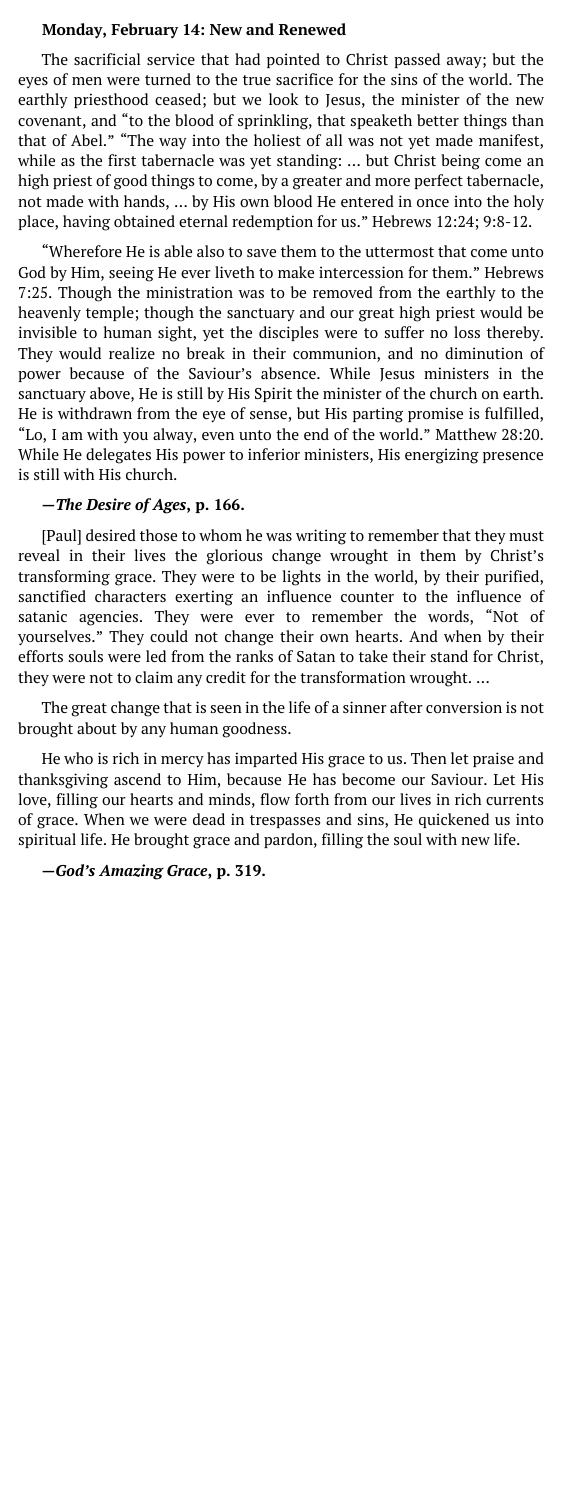## **Monday, February 14: New and Renewed**

The sacrificial service that had pointed to Christ passed away; but the eyes of men were turned to the true sacrifice for the sins of the world. The earthly priesthood ceased; but we look to Jesus, the minister of the new covenant, and "to the blood of sprinkling, that speaketh better things than that of Abel." "The way into the holiest of all was not yet made manifest, while as the first tabernacle was yet standing: … but Christ being come an high priest of good things to come, by a greater and more perfect tabernacle, not made with hands, … by His own blood He entered in once into the holy place, having obtained eternal redemption for us." Hebrews 12:24; 9:8-12.

"Wherefore He is able also to save them to the uttermost that come unto God by Him, seeing He ever liveth to make intercession for them." Hebrews 7:25. Though the ministration was to be removed from the earthly to the heavenly temple; though the sanctuary and our great high priest would be invisible to human sight, yet the disciples were to suffer no loss thereby. They would realize no break in their communion, and no diminution of power because of the Saviour's absence. While Jesus ministers in the sanctuary above, He is still by His Spirit the minister of the church on earth. He is withdrawn from the eye of sense, but His parting promise is fulfilled, "Lo, I am with you alway, even unto the end of the world." Matthew 28:20. While He delegates His power to inferior ministers, His energizing presence is still with His church.

# **—***The Desire of Ages***, p. 166.**

[Paul] desired those to whom he was writing to remember that they must reveal in their lives the glorious change wrought in them by Christ's transforming grace. They were to be lights in the world, by their purified, sanctified characters exerting an influence counter to the influence of satanic agencies. They were ever to remember the words, "Not of yourselves." They could not change their own hearts. And when by their efforts souls were led from the ranks of Satan to take their stand for Christ, they were not to claim any credit for the transformation wrought. …

The great change that is seen in the life of a sinner after conversion is not brought about by any human goodness.

He who is rich in mercy has imparted His grace to us. Then let praise and thanksgiving ascend to Him, because He has become our Saviour. Let His love, filling our hearts and minds, flow forth from our lives in rich currents of grace. When we were dead in trespasses and sins, He quickened us into spiritual life. He brought grace and pardon, filling the soul with new life.

**—***God's Amazing Grace***, p. 319.**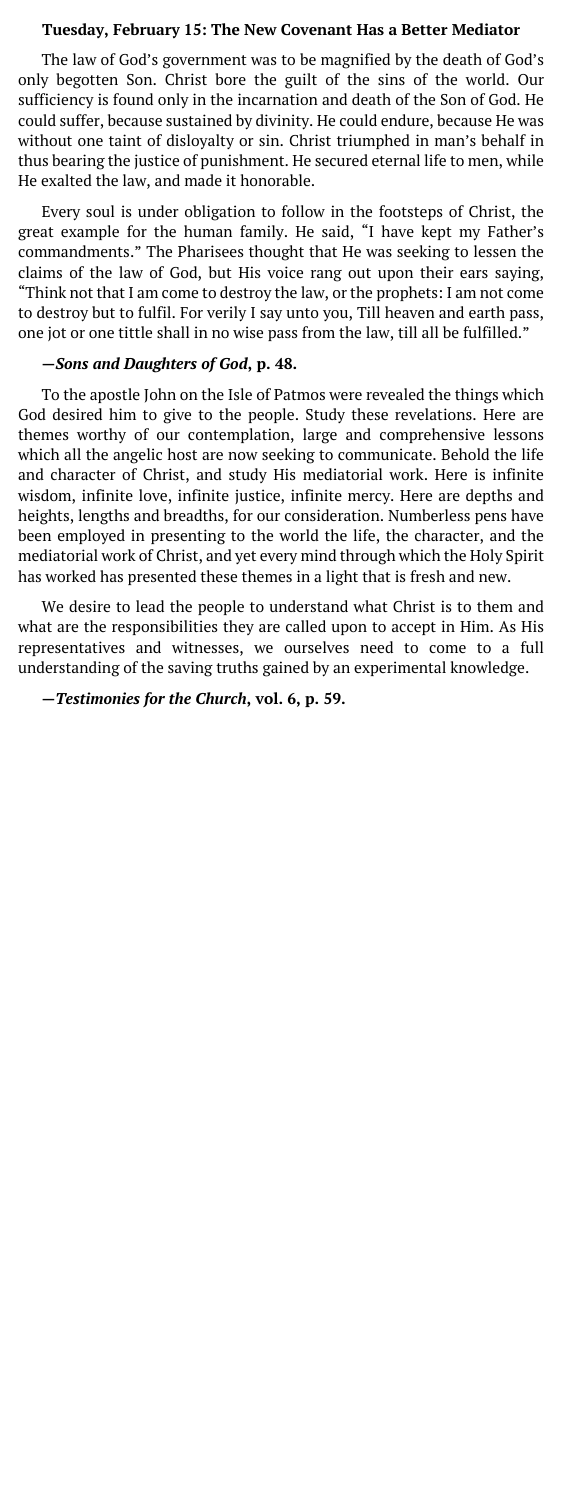#### **Tuesday, February 15: The New Covenant Has a Better Mediator**

The law of God's government was to be magnified by the death of God's only begotten Son. Christ bore the guilt of the sins of the world. Our sufficiency is found only in the incarnation and death of the Son of God. He could suffer, because sustained by divinity. He could endure, because He was without one taint of disloyalty or sin. Christ triumphed in man's behalf in thus bearing the justice of punishment. He secured eternal life to men, while He exalted the law, and made it honorable.

Every soul is under obligation to follow in the footsteps of Christ, the great example for the human family. He said, "I have kept my Father's commandments." The Pharisees thought that He was seeking to lessen the claims of the law of God, but His voice rang out upon their ears saying, "Think not that I am come to destroy the law, or the prophets: I am not come to destroy but to fulfil. For verily I say unto you, Till heaven and earth pass, one jot or one tittle shall in no wise pass from the law, till all be fulfilled."

#### **—***Sons and Daughters of God***, p. 48.**

To the apostle John on the Isle of Patmos were revealed the things which God desired him to give to the people. Study these revelations. Here are themes worthy of our contemplation, large and comprehensive lessons which all the angelic host are now seeking to communicate. Behold the life and character of Christ, and study His mediatorial work. Here is infinite wisdom, infinite love, infinite justice, infinite mercy. Here are depths and heights, lengths and breadths, for our consideration. Numberless pens have been employed in presenting to the world the life, the character, and the mediatorial work of Christ, and yet every mind through which the Holy Spirit has worked has presented these themes in a light that is fresh and new.

We desire to lead the people to understand what Christ is to them and what are the responsibilities they are called upon to accept in Him. As His representatives and witnesses, we ourselves need to come to a full understanding of the saving truths gained by an experimental knowledge.

**—***Testimonies for the Church***, vol. 6, p. 59.**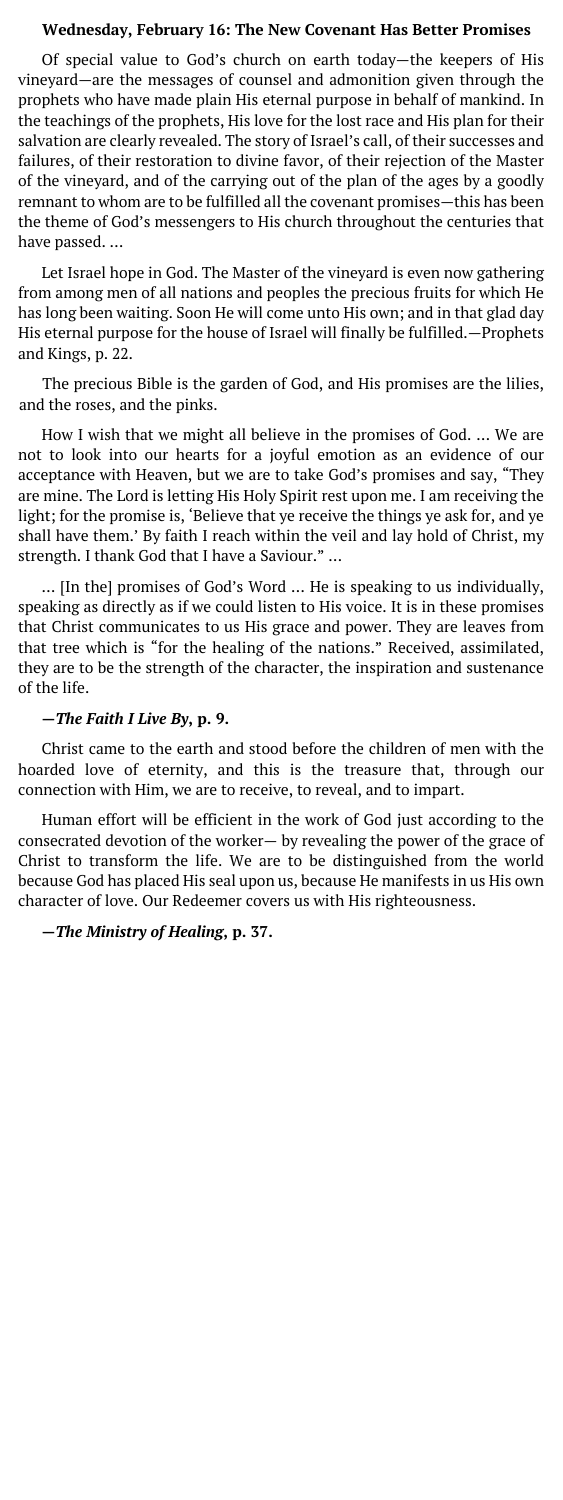#### **Wednesday, February 16: The New Covenant Has Better Promises**

Of special value to God's church on earth today—the keepers of His vineyard—are the messages of counsel and admonition given through the prophets who have made plain His eternal purpose in behalf of mankind. In the teachings of the prophets, His love for the lost race and His plan for their salvation are clearly revealed. The story of Israel's call, of their successes and failures, of their restoration to divine favor, of their rejection of the Master of the vineyard, and of the carrying out of the plan of the ages by a goodly remnant to whom are to be fulfilled all the covenant promises—this has been the theme of God's messengers to His church throughout the centuries that have passed. …

Let Israel hope in God. The Master of the vineyard is even now gathering from among men of all nations and peoples the precious fruits for which He has long been waiting. Soon He will come unto His own; and in that glad day His eternal purpose for the house of Israel will finally be fulfilled.—Prophets and Kings, p. 22.

The precious Bible is the garden of God, and His promises are the lilies, and the roses, and the pinks.

How I wish that we might all believe in the promises of God. … We are not to look into our hearts for a joyful emotion as an evidence of our acceptance with Heaven, but we are to take God's promises and say, "They are mine. The Lord is letting His Holy Spirit rest upon me. I am receiving the light; for the promise is, 'Believe that ye receive the things ye ask for, and ye shall have them.' By faith I reach within the veil and lay hold of Christ, my strength. I thank God that I have a Saviour." …

… [In the] promises of God's Word … He is speaking to us individually, speaking as directly as if we could listen to His voice. It is in these promises that Christ communicates to us His grace and power. They are leaves from that tree which is "for the healing of the nations." Received, assimilated, they are to be the strength of the character, the inspiration and sustenance of the life.

# **—***The Faith I Live By***, p. 9.**

Christ came to the earth and stood before the children of men with the hoarded love of eternity, and this is the treasure that, through our connection with Him, we are to receive, to reveal, and to impart.

Human effort will be efficient in the work of God just according to the consecrated devotion of the worker— by revealing the power of the grace of Christ to transform the life. We are to be distinguished from the world because God has placed His seal upon us, because He manifests in us His own character of love. Our Redeemer covers us with His righteousness.

# **—***The Ministry of Healing***, p. 37.**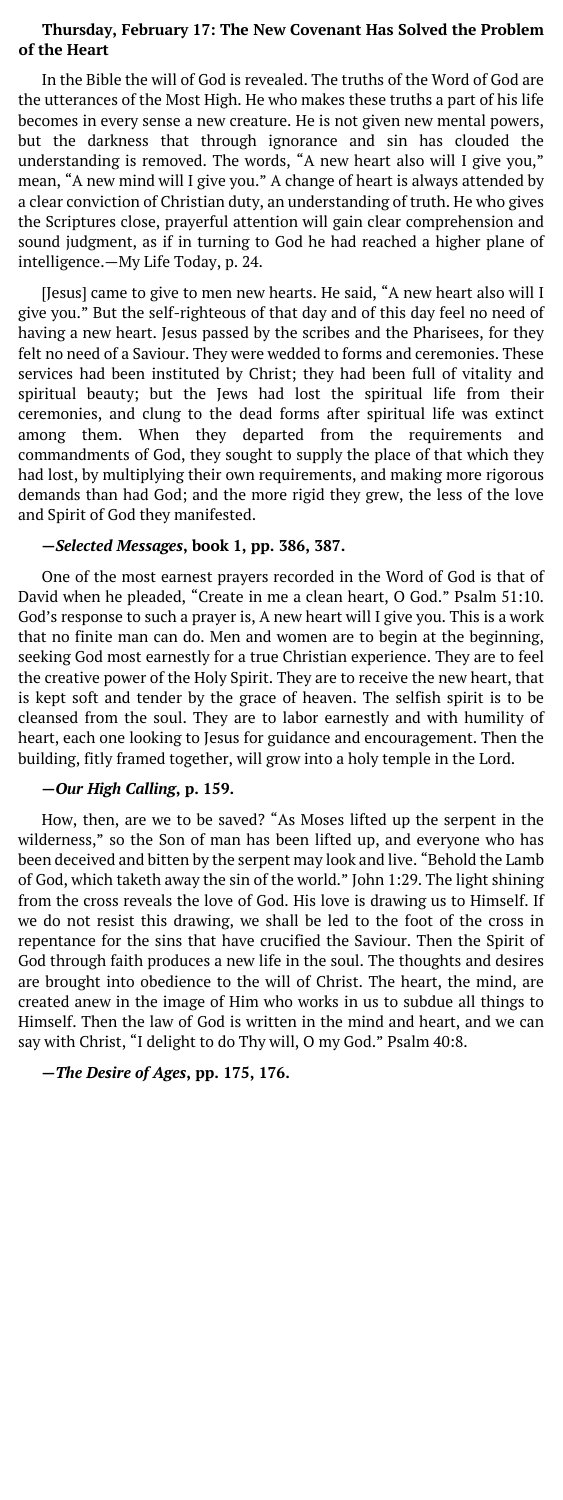# **Thursday, February 17: The New Covenant Has Solved the Problem of the Heart**

In the Bible the will of God is revealed. The truths of the Word of God are the utterances of the Most High. He who makes these truths a part of his life becomes in every sense a new creature. He is not given new mental powers, but the darkness that through ignorance and sin has clouded the understanding is removed. The words, "A new heart also will I give you," mean, "A new mind will I give you." A change of heart is always attended by a clear conviction of Christian duty, an understanding of truth. He who gives the Scriptures close, prayerful attention will gain clear comprehension and sound judgment, as if in turning to God he had reached a higher plane of intelligence.—My Life Today, p. 24.

[Jesus] came to give to men new hearts. He said, "A new heart also will I give you." But the self-righteous of that day and of this day feel no need of having a new heart. Jesus passed by the scribes and the Pharisees, for they felt no need of a Saviour. They were wedded to forms and ceremonies. These services had been instituted by Christ; they had been full of vitality and spiritual beauty; but the Jews had lost the spiritual life from their ceremonies, and clung to the dead forms after spiritual life was extinct among them. When they departed from the requirements and commandments of God, they sought to supply the place of that which they had lost, by multiplying their own requirements, and making more rigorous demands than had God; and the more rigid they grew, the less of the love and Spirit of God they manifested.

#### **—***Selected Messages***, book 1, pp. 386, 387.**

One of the most earnest prayers recorded in the Word of God is that of David when he pleaded, "Create in me a clean heart, O God." Psalm 51:10. God's response to such a prayer is, A new heart will I give you. This is a work that no finite man can do. Men and women are to begin at the beginning, seeking God most earnestly for a true Christian experience. They are to feel the creative power of the Holy Spirit. They are to receive the new heart, that is kept soft and tender by the grace of heaven. The selfish spirit is to be cleansed from the soul. They are to labor earnestly and with humility of heart, each one looking to Jesus for guidance and encouragement. Then the building, fitly framed together, will grow into a holy temple in the Lord.

#### **—***Our High Calling***, p. 159.**

How, then, are we to be saved? "As Moses lifted up the serpent in the wilderness," so the Son of man has been lifted up, and everyone who has been deceived and bitten by the serpent may look and live. "Behold the Lamb of God, which taketh away the sin of the world." John 1:29. The light shining from the cross reveals the love of God. His love is drawing us to Himself. If we do not resist this drawing, we shall be led to the foot of the cross in repentance for the sins that have crucified the Saviour. Then the Spirit of God through faith produces a new life in the soul. The thoughts and desires are brought into obedience to the will of Christ. The heart, the mind, are created anew in the image of Him who works in us to subdue all things to Himself. Then the law of God is written in the mind and heart, and we can say with Christ, "I delight to do Thy will, O my God." Psalm 40:8.

**—***The Desire of Ages***, pp. 175, 176.**